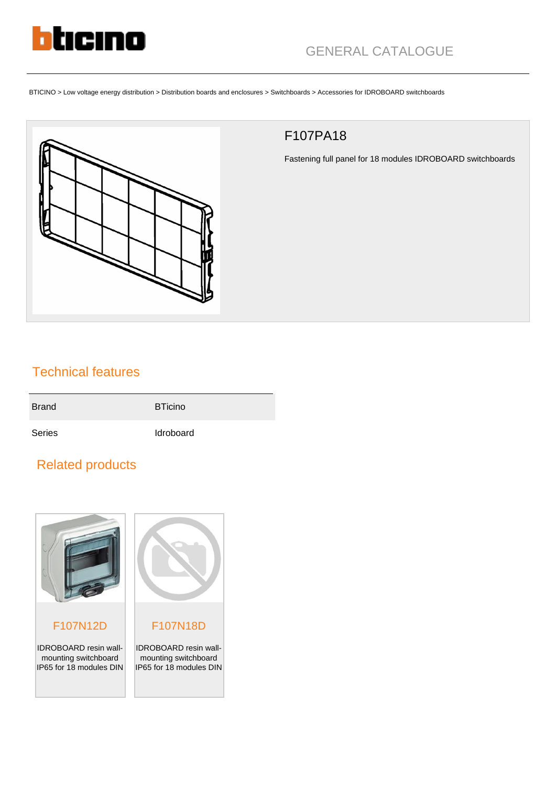

BTICINO > Low voltage energy distribution > Distribution boards and enclosures > Switchboards > Accessories for IDROBOARD switchboards



## F107PA18

Fastening full panel for 18 modules IDROBOARD switchboards

## Technical features

| <b>Brand</b> | <b>BTicino</b>   |
|--------------|------------------|
| Series       | <b>Idroboard</b> |

## Related products



## F107N12D

IDROBOARD resin wallmounting switchboard IP65 for 18 modules DIN



IDROBOARD resin wallmounting switchboard IP65 for 18 modules DIN